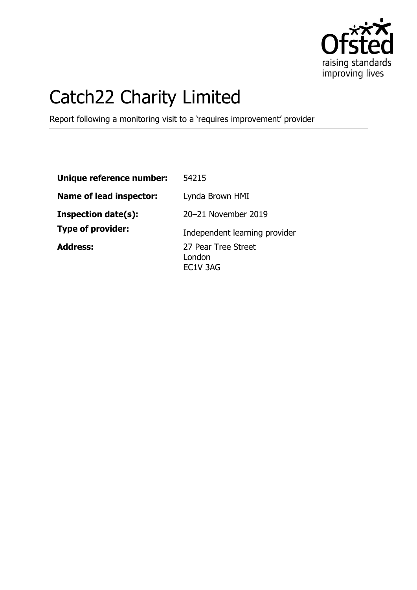

# Catch22 Charity Limited

Report following a monitoring visit to a 'requires improvement' provider

| Unique reference number:       | 54215                                     |
|--------------------------------|-------------------------------------------|
| <b>Name of lead inspector:</b> | Lynda Brown HMI                           |
| <b>Inspection date(s):</b>     | 20-21 November 2019                       |
| <b>Type of provider:</b>       | Independent learning provider             |
| <b>Address:</b>                | 27 Pear Tree Street<br>London<br>EC1V 3AG |
|                                |                                           |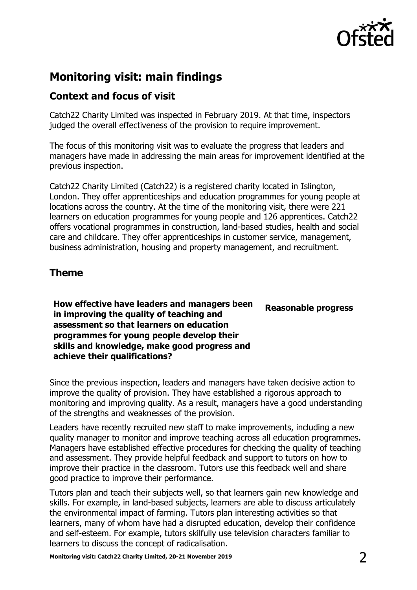

# **Monitoring visit: main findings**

### **Context and focus of visit**

Catch22 Charity Limited was inspected in February 2019. At that time, inspectors judged the overall effectiveness of the provision to require improvement.

The focus of this monitoring visit was to evaluate the progress that leaders and managers have made in addressing the main areas for improvement identified at the previous inspection.

Catch22 Charity Limited (Catch22) is a registered charity located in Islington, London. They offer apprenticeships and education programmes for young people at locations across the country. At the time of the monitoring visit, there were 221 learners on education programmes for young people and 126 apprentices. Catch22 offers vocational programmes in construction, land-based studies, health and social care and childcare. They offer apprenticeships in customer service, management, business administration, housing and property management, and recruitment.

## **Theme**

**How effective have leaders and managers been in improving the quality of teaching and assessment so that learners on education programmes for young people develop their skills and knowledge, make good progress and achieve their qualifications? Reasonable progress**

Since the previous inspection, leaders and managers have taken decisive action to improve the quality of provision. They have established a rigorous approach to monitoring and improving quality. As a result, managers have a good understanding of the strengths and weaknesses of the provision.

Leaders have recently recruited new staff to make improvements, including a new quality manager to monitor and improve teaching across all education programmes. Managers have established effective procedures for checking the quality of teaching and assessment. They provide helpful feedback and support to tutors on how to improve their practice in the classroom. Tutors use this feedback well and share good practice to improve their performance.

Tutors plan and teach their subjects well, so that learners gain new knowledge and skills. For example, in land-based subjects, learners are able to discuss articulately the environmental impact of farming. Tutors plan interesting activities so that learners, many of whom have had a disrupted education, develop their confidence and self-esteem. For example, tutors skilfully use television characters familiar to learners to discuss the concept of radicalisation.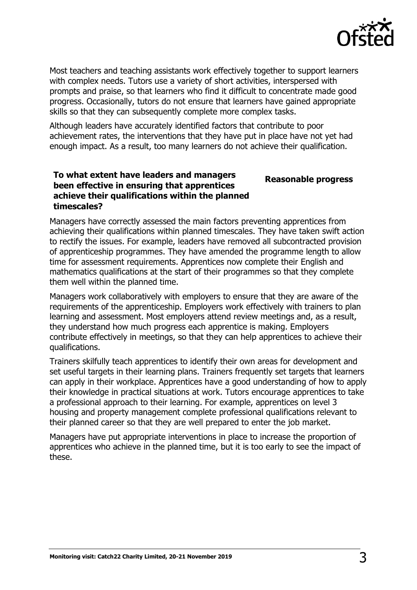

**Reasonable progress**

Most teachers and teaching assistants work effectively together to support learners with complex needs. Tutors use a variety of short activities, interspersed with prompts and praise, so that learners who find it difficult to concentrate made good progress. Occasionally, tutors do not ensure that learners have gained appropriate skills so that they can subsequently complete more complex tasks.

Although leaders have accurately identified factors that contribute to poor achievement rates, the interventions that they have put in place have not yet had enough impact. As a result, too many learners do not achieve their qualification.

#### **To what extent have leaders and managers been effective in ensuring that apprentices achieve their qualifications within the planned timescales?**

Managers have correctly assessed the main factors preventing apprentices from achieving their qualifications within planned timescales. They have taken swift action to rectify the issues. For example, leaders have removed all subcontracted provision of apprenticeship programmes. They have amended the programme length to allow time for assessment requirements. Apprentices now complete their English and mathematics qualifications at the start of their programmes so that they complete them well within the planned time.

Managers work collaboratively with employers to ensure that they are aware of the requirements of the apprenticeship. Employers work effectively with trainers to plan learning and assessment. Most employers attend review meetings and, as a result, they understand how much progress each apprentice is making. Employers contribute effectively in meetings, so that they can help apprentices to achieve their qualifications.

Trainers skilfully teach apprentices to identify their own areas for development and set useful targets in their learning plans. Trainers frequently set targets that learners can apply in their workplace. Apprentices have a good understanding of how to apply their knowledge in practical situations at work. Tutors encourage apprentices to take a professional approach to their learning. For example, apprentices on level 3 housing and property management complete professional qualifications relevant to their planned career so that they are well prepared to enter the job market.

Managers have put appropriate interventions in place to increase the proportion of apprentices who achieve in the planned time, but it is too early to see the impact of these.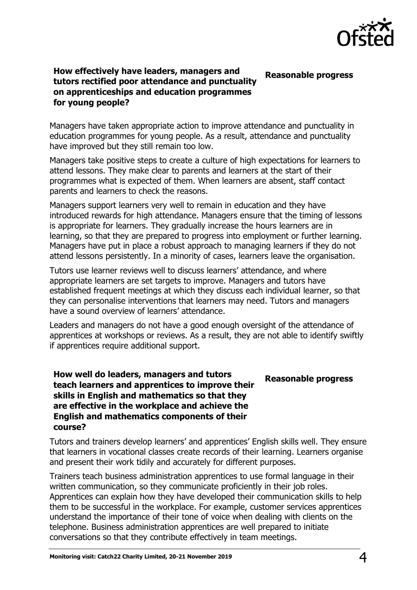

#### **How effectively have leaders, managers and tutors rectified poor attendance and punctuality on apprenticeships and education programmes for young people? Reasonable progress**

Managers have taken appropriate action to improve attendance and punctuality in education programmes for young people. As a result, attendance and punctuality have improved but they still remain too low.

Managers take positive steps to create a culture of high expectations for learners to attend lessons. They make clear to parents and learners at the start of their programmes what is expected of them. When learners are absent, staff contact parents and learners to check the reasons.

Managers support learners very well to remain in education and they have introduced rewards for high attendance. Managers ensure that the timing of lessons is appropriate for learners. They gradually increase the hours learners are in learning, so that they are prepared to progress into employment or further learning. Managers have put in place a robust approach to managing learners if they do not attend lessons persistently. In a minority of cases, learners leave the organisation.

Tutors use learner reviews well to discuss learners' attendance, and where appropriate learners are set targets to improve. Managers and tutors have established frequent meetings at which they discuss each individual learner, so that they can personalise interventions that learners may need. Tutors and managers have a sound overview of learners' attendance.

Leaders and managers do not have a good enough oversight of the attendance of apprentices at workshops or reviews. As a result, they are not able to identify swiftly if apprentices require additional support.

#### **How well do leaders, managers and tutors teach learners and apprentices to improve their skills in English and mathematics so that they are effective in the workplace and achieve the English and mathematics components of their course?**

**Reasonable progress**

Tutors and trainers develop learners' and apprentices' English skills well. They ensure that learners in vocational classes create records of their learning. Learners organise and present their work tidily and accurately for different purposes.

Trainers teach business administration apprentices to use formal language in their written communication, so they communicate proficiently in their job roles. Apprentices can explain how they have developed their communication skills to help them to be successful in the workplace. For example, customer services apprentices understand the importance of their tone of voice when dealing with clients on the telephone. Business administration apprentices are well prepared to initiate conversations so that they contribute effectively in team meetings.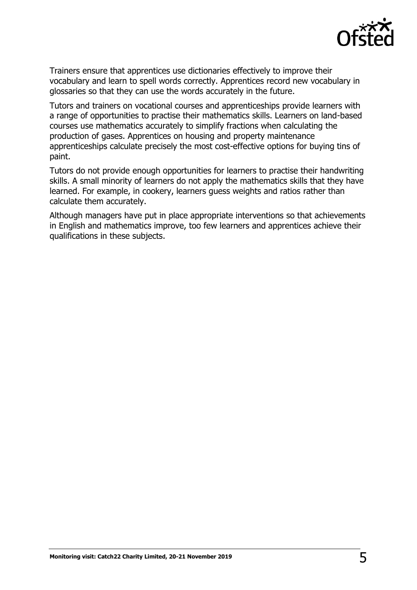

Trainers ensure that apprentices use dictionaries effectively to improve their vocabulary and learn to spell words correctly. Apprentices record new vocabulary in glossaries so that they can use the words accurately in the future.

Tutors and trainers on vocational courses and apprenticeships provide learners with a range of opportunities to practise their mathematics skills. Learners on land-based courses use mathematics accurately to simplify fractions when calculating the production of gases. Apprentices on housing and property maintenance apprenticeships calculate precisely the most cost-effective options for buying tins of paint.

Tutors do not provide enough opportunities for learners to practise their handwriting skills. A small minority of learners do not apply the mathematics skills that they have learned. For example, in cookery, learners guess weights and ratios rather than calculate them accurately.

Although managers have put in place appropriate interventions so that achievements in English and mathematics improve, too few learners and apprentices achieve their qualifications in these subjects.